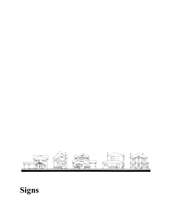# **Signs**

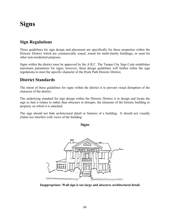# **Signs**

## **Sign Regulations**

These guidelines for sign design and placement are specifically for those properties within the Historic District which are commercially zoned, zoned for multi-family buildings, or used for other non-residential purposes.

Signs within the district must be approved by the A.R.C. The Tampa City Sign Code establishes maximum parameters for signs; however, these design guidelines will further refine the sign regulations to meet the specific character of the Hyde Park Historic District.

### **District Standards**

The intent of these guidelines for signs within the district is to prevent visual disruption of the character of the district.

The underlying standard for sign design within the Historic District is to design and locate the sign so that it relates to rather than obscures or disrupts, the elements of the historic building or property on which it is attached.

The sign should not hide architectural detail or features of a building. It should not visually clutter nor interfere with views of the building.

**Signs** 



**Inappropriate: Wall sign is too large and obscures architectural detail.**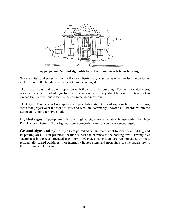

**Appropriate: Ground sign adds to rather than detracts from building.** 

Since architectural styles within the Historic District vary, sign styles which reflect the period of architecture of the building or its identity are encouraged.

The size of signs shall be in proportion with the size of the building. For wall mounted signs, one-quarter square foot of sign for each linear foot of primary street building frontage, not to exceed twenty-five square feet, is the recommended maximum.

The City of Tampa Sign Code specifically prohibits certain types of signs such as off-site signs, signs that project over the right-of-way and what are commonly known as billboards within the designated zoning for Hyde Park.

Lighted signs. Appropriately designed lighted signs are acceptable for use within the Hyde Park Historic District. Signs lighted from a concealed exterior source are encouraged.

**Ground signs and pylon signs** are permitted within the district to identify a building and its parking area. Their preferred location is near the entrance to the parking area. Twenty-five square feet is the recommended maximum; however, smaller signs are recommended on most residentially scaled buildings. For internally lighted signs and neon signs twelve square feet is the recommended maximum.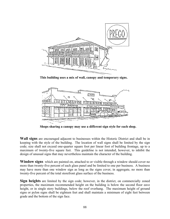

**This building uses a mix of wall, canopy and temporary signs.** 



**Shops sharing a canopy may use a different sign style for each shop.** 

**Wall signs** are encouraged adjacent to businesses within the Historic District and shall be in keeping with the style of the building. The location of wall signs shall be limited by the sign code; size shall not exceed one-quarter square foot per linear foot of building frontage, up to a maximum of twenty-five square feet. This guideline is not intended, however, to inhibit the design of unusual signs that may nevertheless maintain the character of the building.

Window signs which are painted on, attached to or visible through a window should cover no more than twenty-five percent of each glass panel and be limited to one per business. A business may have more than one window sign as long as the signs cover, in aggregate, no more than twenty-five percent of the total storefront glass surface of the business.

**Sign heights** are limited by the sign code; however, in the district, on commercially zoned properties, the maximum recommended height on the building is below the second floor eave height, or in single story buildings, below the roof overhang. The maximum height of ground signs or pylon signs shall be eighteen feet and shall maintain a minimum of eight feet between grade and the bottom of the sign face.